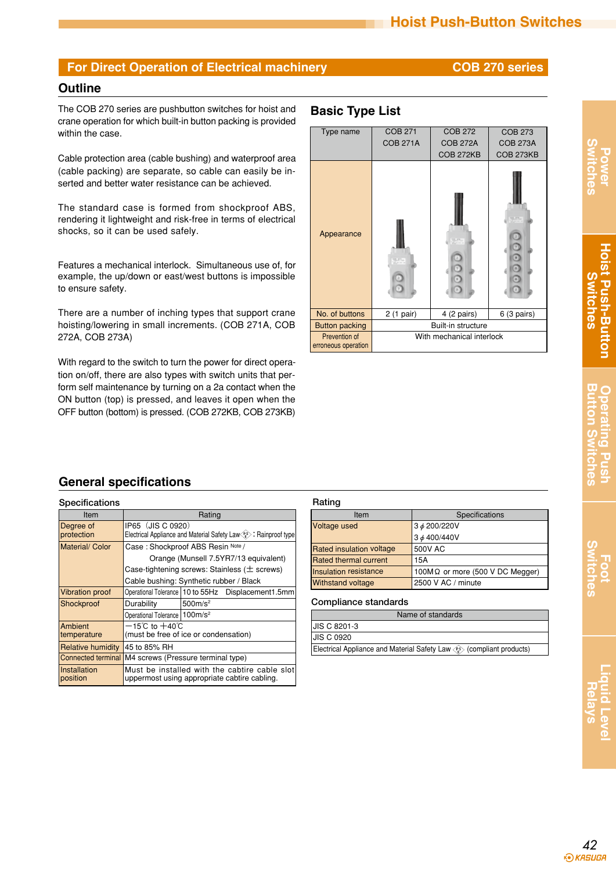### **Outline**

The COB 270 series are pushbutton switches for hoist and **Basic Type List** crane operation for which built-in button packing is provided within the case.

Cable protection area (cable bushing) and waterproof area (cable packing) are separate, so cable can easily be inserted and better water resistance can be achieved.

The standard case is formed from shockproof ABS, rendering it lightweight and risk-free in terms of electrical shocks, so it can be used safely.

Features a mechanical interlock. Simultaneous use of, for example, the up/down or east/west buttons is impossible to ensure safety.

There are a number of inching types that support crane hoisting/lowering in small increments. (COB 271A, COB 272A, COB 273A)

With regard to the switch to turn the power for direct operation on/off, there are also types with switch units that perform self maintenance by turning on a 2a contact when the ON button (top) is pressed, and leaves it open when the OFF button (bottom) is pressed. (COB 272KB, COB 273KB)



**Power Switches**

# **Foot Switches**

# **General specifications**

| Specifications           |                                                                                               |                     | Rating          |
|--------------------------|-----------------------------------------------------------------------------------------------|---------------------|-----------------|
| Item                     |                                                                                               |                     |                 |
| Degree of<br>protection  | IP65 (JIS C 0920)<br>Electrical Appliance and Material Safety Law <es>: Rainproof type</es>   |                     | Voltage         |
| Material/ Color          | Case: Shockproof ABS Resin Note /                                                             |                     | <b>Rated ir</b> |
|                          | Orange (Munsell 7.5YR7/13 equivalent)                                                         |                     | <b>Rated th</b> |
|                          | Case-tightening screws: Stainless $(\pm$ screws)                                              |                     | Insulatio       |
|                          | Cable bushing: Synthetic rubber / Black                                                       |                     | Withstar        |
| <b>Vibration proof</b>   | Operational Tolerance   10 to 55Hz                                                            | Displacement1.5mm   |                 |
| Shockproof               | Durability                                                                                    | 500m/s <sup>2</sup> | Compl           |
|                          | Operational Tolerance   100m/s <sup>2</sup>                                                   |                     |                 |
| Ambient                  | $-15^{\circ}$ C to $+40^{\circ}$ C                                                            |                     | <b>JIS C 82</b> |
| temperature              | (must be free of ice or condensation)                                                         |                     | JIS C 09        |
| <b>Relative humidity</b> | 45 to 85% RH                                                                                  |                     | Electrica       |
|                          | Connected terminal M4 screws (Pressure terminal type)                                         |                     |                 |
| Installation<br>position | Must be installed with the cabtire cable slot<br>uppermost using appropriate cabtire cabling. |                     |                 |

| nauuu                           |                                         |  |  |
|---------------------------------|-----------------------------------------|--|--|
| Item                            | Specifications                          |  |  |
| Voltage used                    | 3 $\phi$ 200/220V                       |  |  |
|                                 | 3 ø 400/440V                            |  |  |
| <b>Rated insulation voltage</b> | 500V AC                                 |  |  |
| <b>Rated thermal current</b>    | 15A                                     |  |  |
| Insulation resistance           | 100M $\Omega$ or more (500 V DC Megger) |  |  |
| <b>Withstand voltage</b>        | 2500 V AC / minute                      |  |  |

| Compliance standards |
|----------------------|
|----------------------|

| Name of standards                                                     |  |  |
|-----------------------------------------------------------------------|--|--|
| <b>JIS C 8201-3</b>                                                   |  |  |
| <b>JIS C 0920</b>                                                     |  |  |
| Electrical Appliance and Material Safety Law (e) (compliant products) |  |  |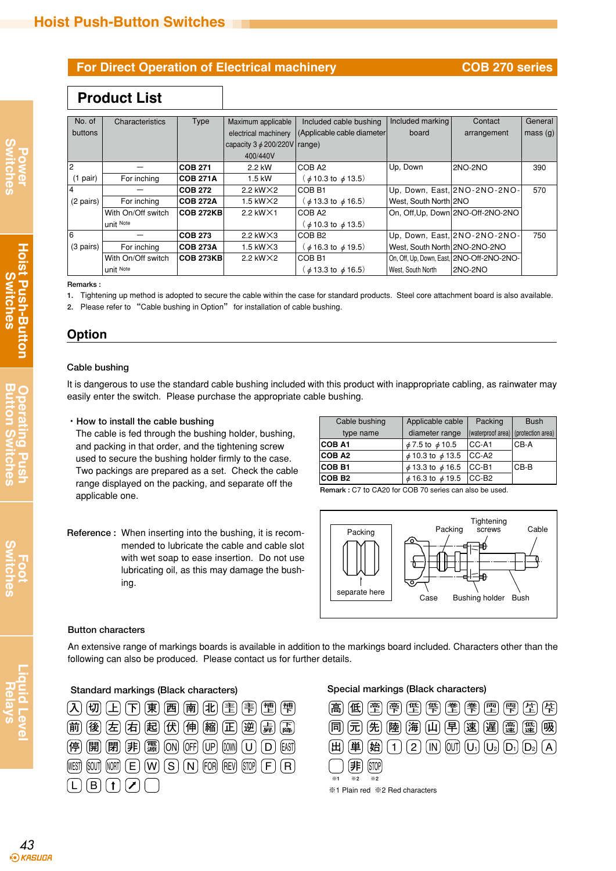# **Product List**

| No. of              | Characteristics    | <b>Type</b>      | Maximum applicable                | Included cable bushing                           | Included marking              | Contact                                   | General |
|---------------------|--------------------|------------------|-----------------------------------|--------------------------------------------------|-------------------------------|-------------------------------------------|---------|
| buttons             |                    |                  |                                   | electrical machinery (Applicable cable diameter) | board                         | arrangement                               | mass(q) |
|                     |                    |                  | capacity $3 \phi$ 200/220V range) |                                                  |                               |                                           |         |
|                     |                    |                  | 400/440V                          |                                                  |                               |                                           |         |
| 2                   |                    | <b>COB 271</b>   | 2.2 kW                            | COB A2                                           | Up, Down                      | 2NO-2NO                                   | 390     |
| $(1$ pair)          | For inching        | <b>COB 271A</b>  | 1.5 kW                            | $\phi$ 10.3 to $\phi$ 13.5)                      |                               |                                           |         |
|                     |                    | <b>COB 272</b>   | 2.2 kW $\times$ 2                 | COB B1                                           |                               | Up, Down, East, 2NO-2NO-2NO-              | 570     |
| (2 pairs)           | For inching        | <b>COB 272A</b>  | 1.5 kW $\times$ 2                 | $\phi$ 13.3 to $\phi$ 16.5)                      | West, South North 2NO         |                                           |         |
|                     | With On/Off switch | <b>COB 272KB</b> | 2.2 kW $\times$ 1                 | COB A2                                           |                               | On, Off, Up, Down 2NO-Off-2NO-2NO         |         |
|                     | unit Note          |                  |                                   | $\phi$ 10.3 to $\phi$ 13.5)                      |                               |                                           |         |
| 6                   |                    | <b>COB 273</b>   | 2.2 kW $\times$ 3                 | COB B <sub>2</sub>                               |                               | Up, Down, East, 2NO-2NO-2NO-              | 750     |
| $(3 \text{ pairs})$ | For inching        | <b>COB 273A</b>  | 1.5 kW $\times$ 3                 | $\phi$ 16.3 to $\phi$ 19.5)                      | West, South North 2NO-2NO-2NO |                                           |         |
|                     | With On/Off switch | <b>COB 273KB</b> | 2.2 kW $\times$ 2                 | COB B1                                           |                               | On, Off, Up, Down, East, 2NO-Off-2NO-2NO- |         |
|                     | unit Note          |                  |                                   | $\phi$ 13.3 to $\phi$ 16.5)                      | West, South North             | 2NO-2NO                                   |         |

**Remarks :**

**1.** Tightening up method is adopted to secure the cable within the case for standard products. Steel core attachment board is also available.

**2.** Please refer to "Cable bushing in Option" for installation of cable bushing.

# **Option**

#### **Cable bushing**

It is dangerous to use the standard cable bushing included with this product with inappropriate cabling, as rainwater may easily enter the switch. Please purchase the appropriate cable bushing.

#### **・How to install the cable bushing**

The cable is fed through the bushing holder, bushing, and packing in that order, and the tightening screw used to secure the bushing holder firmly to the case. Two packings are prepared as a set. Check the cable range displayed on the packing, and separate off the applicable one.

| Reference: When inserting into the bushing, it is recom- |
|----------------------------------------------------------|
| mended to lubricate the cable and cable slot             |
| with wet soap to ease insertion. Do not use              |
| lubricating oil, as this may damage the bush-            |
| ing.                                                     |

| Cable bushing | Applicable cable           | Packing                             | <b>Bush</b> |
|---------------|----------------------------|-------------------------------------|-------------|
| type name     | diameter range             | (waterproof area) (protection area) |             |
| ICOB A1       | $\phi$ 7.5 to $\phi$ 10.5  | ICC-A1                              | ICB-A       |
| <b>COB A2</b> | $\phi$ 10.3 to $\phi$ 13.5 | $ CC-A2 $                           |             |
| ICOB B1       | $\phi$ 13.3 to $\phi$ 16.5 | ICC-B1                              | ICB-B       |
| <b>COB B2</b> | $\phi$ 16.3 to $\phi$ 19.5 | ICC-B2                              |             |

**Remark :** C7 to CA20 for COB 70 series can also be used.



#### **Button characters**

An extensive range of markings boards is available in addition to the markings board included. Characters other than the following can also be produced. Please contact us for further details.

### **停** (開 ) (用 ) (用 ) (圖 ) ( D ) ( D ) ( D ) ( D ) ( D ) ( E ) ( D ) ( D ) ( D ) ( D ) ( D ) ( D ) ( D ) ( D ) ( D ) ( D ) ( D ) ( D ) ( D ) ( D ) ( D ) ( D ) ( D ) ( D ) ( D ) ( D ) ( D ) ( D ) ( D ) ( D ) ( D ) ( D ) ( D )  $\widehat{A}$   $\widehat{B}$   $\widehat{C}$   $\widehat{C}$   $\widehat{D}$   $\widehat{A}$   $\widehat{B}$   $\widehat{C}$   $\widehat{C}$   $\widehat{A}$   $\widehat{C}$   $\widehat{A}$   $\widehat{C}$   $\widehat{A}$   $\widehat{C}$   $\widehat{A}$   $\widehat{C}$   $\widehat{A}$   $\widehat{C}$   $\widehat{A}$   $\widehat{C}$   $\widehat{A}$   $\widehat{C}$   $\widehat{A}$   $\widehat$  $\mathbf{F}$  (後 左 右 起 伏 伸 縮 正 逆 与 医 WEST  $\mathop{\rm SOU}\nolimits$  (west)  $\mathop{\rm (E)~(W)~(S)~(N)}$  (for) (rev) (stop) (f) (re  $\Box$  B  $\Box$   $\Box$ EAST **補 下 降**

### **Standard markings (Black characters) Special markings (Black characters)**



※1 Plain red ※2 Red characters

**Foot Switches**

**Liquid Level Relays**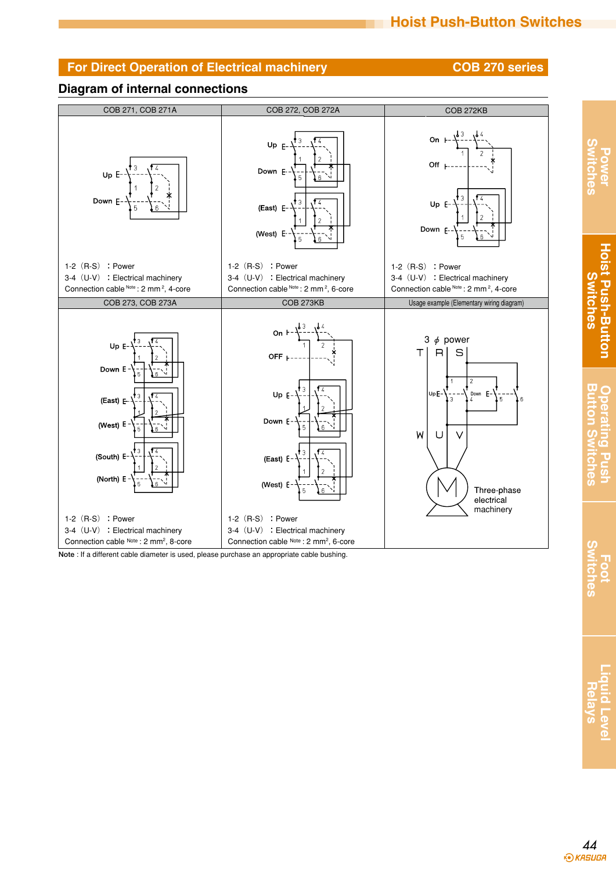**Power Switches**

**Hoist Push-Button Switches**

**Hoist Push-Button Switches** 

**Button Switches Operating Push**

Operating Pus

**Button S** 

**Foot Switches**

**Switches** 

**Liquid Level Relays**

## **Diagram of internal connections**



**Note** : If a different cable diameter is used, please purchase an appropriate cable bushing.

*44*<br>*•••••••••••••••••••••••••*